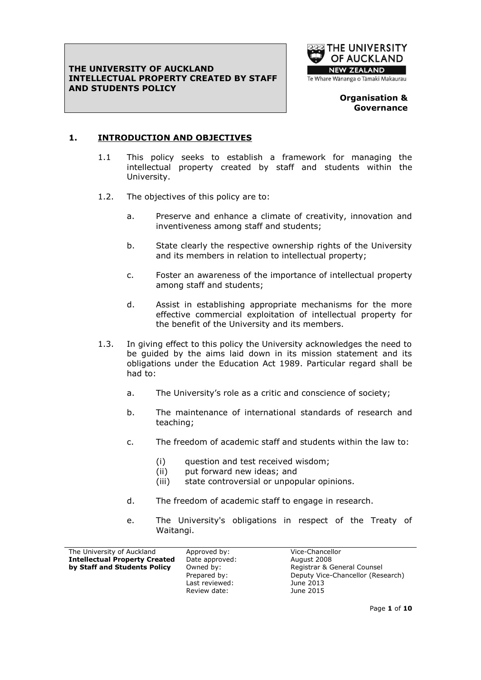

#### **Organisation & Governance**

## **1. INTRODUCTION AND OBJECTIVES**

- 1.1 This policy seeks to establish a framework for managing the intellectual property created by staff and students within the University.
- 1.2. The objectives of this policy are to:
	- a. Preserve and enhance a climate of creativity, innovation and inventiveness among staff and students;
	- b. State clearly the respective ownership rights of the University and its members in relation to intellectual property;
	- c. Foster an awareness of the importance of intellectual property among staff and students;
	- d. Assist in establishing appropriate mechanisms for the more effective commercial exploitation of intellectual property for the benefit of the University and its members.
- 1.3. In giving effect to this policy the University acknowledges the need to be guided by the aims laid down in its mission statement and its obligations under the Education Act 1989. Particular regard shall be had to:
	- a. The University's role as a critic and conscience of society;
	- b. The maintenance of international standards of research and teaching;
	- c. The freedom of academic staff and students within the law to:
		- (i) question and test received wisdom;
		- (ii) put forward new ideas; and
		- (iii) state controversial or unpopular opinions.
	- d. The freedom of academic staff to engage in research.
	- e. The University's obligations in respect of the Treaty of Waitangi.

| The University of Auckland           | Approved by:   | Vice-Chancellor                   |
|--------------------------------------|----------------|-----------------------------------|
| <b>Intellectual Property Created</b> | Date approved: | August 2008                       |
| by Staff and Students Policy         | Owned by:      | Registrar & General Counsel       |
|                                      | Prepared by:   | Deputy Vice-Chancellor (Research) |
|                                      | Last reviewed: | June 2013                         |
|                                      | Review date:   | June 2015                         |
|                                      |                |                                   |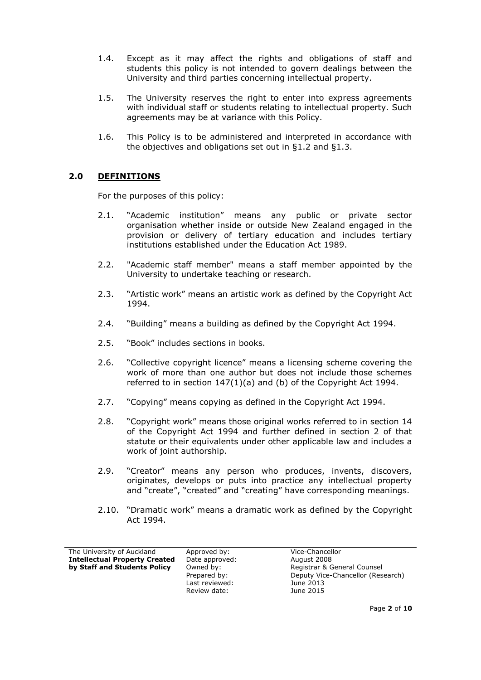- 1.4. Except as it may affect the rights and obligations of staff and students this policy is not intended to govern dealings between the University and third parties concerning intellectual property.
- 1.5. The University reserves the right to enter into express agreements with individual staff or students relating to intellectual property. Such agreements may be at variance with this Policy.
- 1.6. This Policy is to be administered and interpreted in accordance with the objectives and obligations set out in §1.2 and §1.3.

### **2.0 DEFINITIONS**

For the purposes of this policy:

- 2.1. "Academic institution" means any public or private sector organisation whether inside or outside New Zealand engaged in the provision or delivery of tertiary education and includes tertiary institutions established under the Education Act 1989.
- 2.2. "Academic staff member" means a staff member appointed by the University to undertake teaching or research.
- 2.3. "Artistic work" means an artistic work as defined by the Copyright Act 1994.
- 2.4. "Building" means a building as defined by the Copyright Act 1994.
- 2.5. "Book" includes sections in books.
- 2.6. "Collective copyright licence" means a licensing scheme covering the work of more than one author but does not include those schemes referred to in section 147(1)(a) and (b) of the Copyright Act 1994.
- 2.7. "Copying" means copying as defined in the Copyright Act 1994.
- 2.8. "Copyright work" means those original works referred to in section 14 of the Copyright Act 1994 and further defined in section 2 of that statute or their equivalents under other applicable law and includes a work of joint authorship.
- 2.9. "Creator" means any person who produces, invents, discovers, originates, develops or puts into practice any intellectual property and "create", "created" and "creating" have corresponding meanings.
- 2.10. "Dramatic work" means a dramatic work as defined by the Copyright Act 1994.

| The University of Auckland           |  |
|--------------------------------------|--|
| <b>Intellectual Property Created</b> |  |
| by Staff and Students Policy         |  |

**IDate approved:** August 2008 Last reviewed: June 2013 Review date: June 2015

Approved by: Vice-Chancellor **by:** Begistrar & General Counsel Prepared by: Deputy Vice-Chancellor (Research)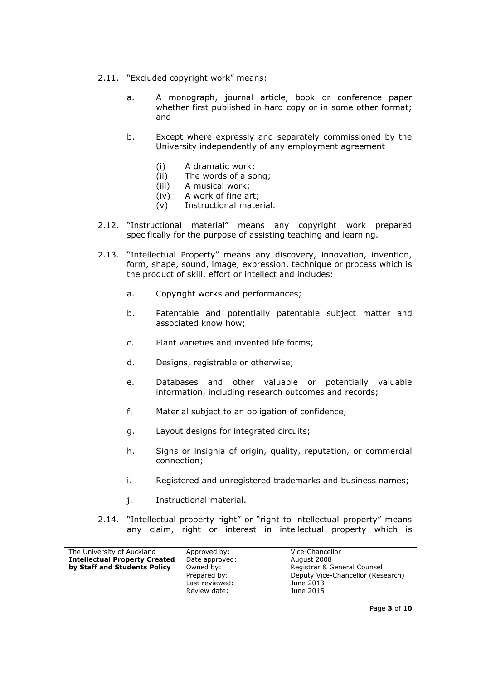- 2.11. "Excluded copyright work" means:
	- a. A monograph, journal article, book or conference paper whether first published in hard copy or in some other format; and
	- b. Except where expressly and separately commissioned by the University independently of any employment agreement
		- (i) A dramatic work;
		- (ii) The words of a song;
		- (iii) A musical work;
		- (iv) A work of fine art;
		- (v) Instructional material.
- 2.12. "Instructional material" means any copyright work prepared specifically for the purpose of assisting teaching and learning.
- 2.13. "Intellectual Property" means any discovery, innovation, invention, form, shape, sound, image, expression, technique or process which is the product of skill, effort or intellect and includes:
	- a. Copyright works and performances;
	- b. Patentable and potentially patentable subject matter and associated know how;
	- c. Plant varieties and invented life forms;
	- d. Designs, registrable or otherwise;
	- e. Databases and other valuable or potentially valuable information, including research outcomes and records;
	- f. Material subject to an obligation of confidence;
	- g. Layout designs for integrated circuits;
	- h. Signs or insignia of origin, quality, reputation, or commercial connection;
	- i. Registered and unregistered trademarks and business names;
	- j. Instructional material.
- 2.14. "Intellectual property right" or "right to intellectual property" means any claim, right or interest in intellectual property which is

| The University of Auckland           | Approved by:   | Vice-Chancellor                   |
|--------------------------------------|----------------|-----------------------------------|
| <b>Intellectual Property Created</b> | Date approved: | August 2008                       |
| by Staff and Students Policy         | Owned by:      | Registrar & General Counsel       |
|                                      | Prepared by:   | Deputy Vice-Chancellor (Research) |
|                                      | Last reviewed: | June 2013                         |
|                                      | Review date:   | June 2015                         |
|                                      |                |                                   |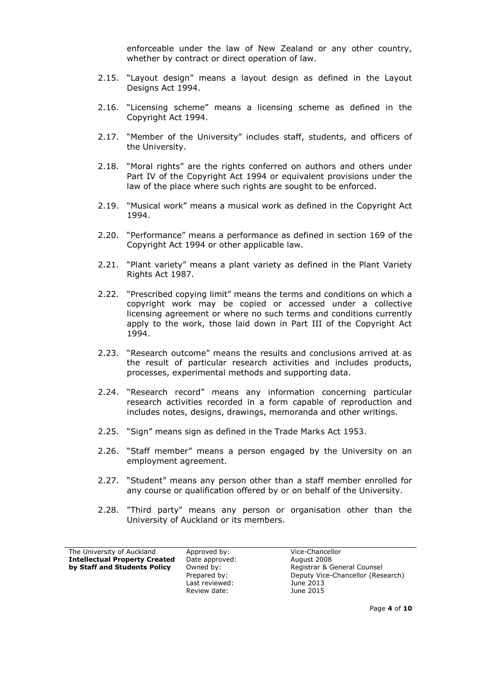enforceable under the law of New Zealand or any other country, whether by contract or direct operation of law.

- 2.15. "Layout design" means a layout design as defined in the Layout Designs Act 1994.
- 2.16. "Licensing scheme" means a licensing scheme as defined in the Copyright Act 1994.
- 2.17. "Member of the University" includes staff, students, and officers of the University.
- 2.18. "Moral rights" are the rights conferred on authors and others under Part IV of the Copyright Act 1994 or equivalent provisions under the law of the place where such rights are sought to be enforced.
- 2.19. "Musical work" means a musical work as defined in the Copyright Act 1994.
- 2.20. "Performance" means a performance as defined in section 169 of the Copyright Act 1994 or other applicable law.
- 2.21. "Plant variety" means a plant variety as defined in the Plant Variety Rights Act 1987.
- 2.22. "Prescribed copying limit" means the terms and conditions on which a copyright work may be copied or accessed under a collective licensing agreement or where no such terms and conditions currently apply to the work, those laid down in Part III of the Copyright Act 1994.
- 2.23. "Research outcome" means the results and conclusions arrived at as the result of particular research activities and includes products, processes, experimental methods and supporting data.
- 2.24. "Research record" means any information concerning particular research activities recorded in a form capable of reproduction and includes notes, designs, drawings, memoranda and other writings.
- 2.25. "Sign" means sign as defined in the Trade Marks Act 1953.
- 2.26. "Staff member" means a person engaged by the University on an employment agreement.
- 2.27. "Student" means any person other than a staff member enrolled for any course or qualification offered by or on behalf of the University.
- 2.28. "Third party" means any person or organisation other than the University of Auckland or its members.

| The University of Auckland           |  |
|--------------------------------------|--|
| <b>Intellectual Property Created</b> |  |
| by Staff and Students Policy         |  |
|                                      |  |

Date approved: August 2008 Last reviewed: June 2013 Review date: June 2015

Approved by: Vice-Chancellor **by:** Begistrar & General Counsel Prepared by: Deputy Vice-Chancellor (Research)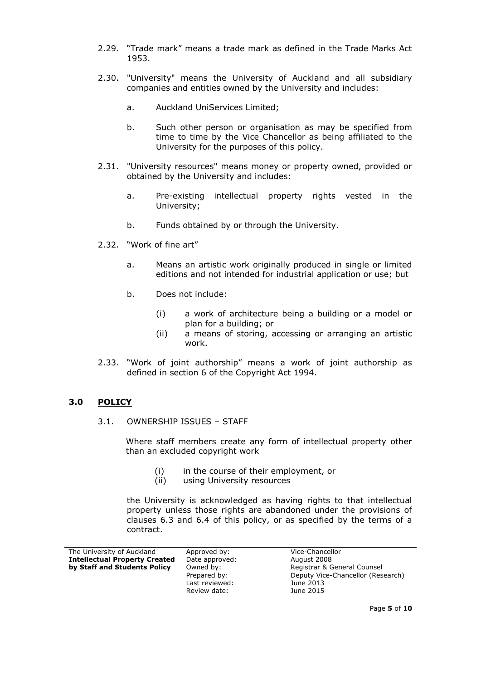- 2.29. "Trade mark" means a trade mark as defined in the Trade Marks Act 1953.
- 2.30. "University" means the University of Auckland and all subsidiary companies and entities owned by the University and includes:
	- a. Auckland UniServices Limited;
	- b. Such other person or organisation as may be specified from time to time by the Vice Chancellor as being affiliated to the University for the purposes of this policy.
- 2.31. "University resources" means money or property owned, provided or obtained by the University and includes:
	- a. Pre-existing intellectual property rights vested in the University;
	- b. Funds obtained by or through the University.
- 2.32. "Work of fine art"
	- a. Means an artistic work originally produced in single or limited editions and not intended for industrial application or use; but
	- b. Does not include:
		- (i) a work of architecture being a building or a model or plan for a building; or
		- (ii) a means of storing, accessing or arranging an artistic work.
- 2.33. "Work of joint authorship" means a work of joint authorship as defined in section 6 of the Copyright Act 1994.

#### **3.0 POLICY**

3.1. OWNERSHIP ISSUES – STAFF

Where staff members create any form of intellectual property other than an excluded copyright work

- (i) in the course of their employment, or
- (ii) using University resources

the University is acknowledged as having rights to that intellectual property unless those rights are abandoned under the provisions of clauses 6.3 and 6.4 of this policy, or as specified by the terms of a contract.

| The University of Auckland           | Approved by:   | Vice-Chancellor                   |
|--------------------------------------|----------------|-----------------------------------|
| <b>Intellectual Property Created</b> | Date approved: | August 2008                       |
| by Staff and Students Policy         | Owned by:      | Registrar & General Counsel       |
|                                      | Prepared by:   | Deputy Vice-Chancellor (Research) |
|                                      | Last reviewed: | June 2013                         |
|                                      | Review date:   | June 2015                         |
|                                      |                |                                   |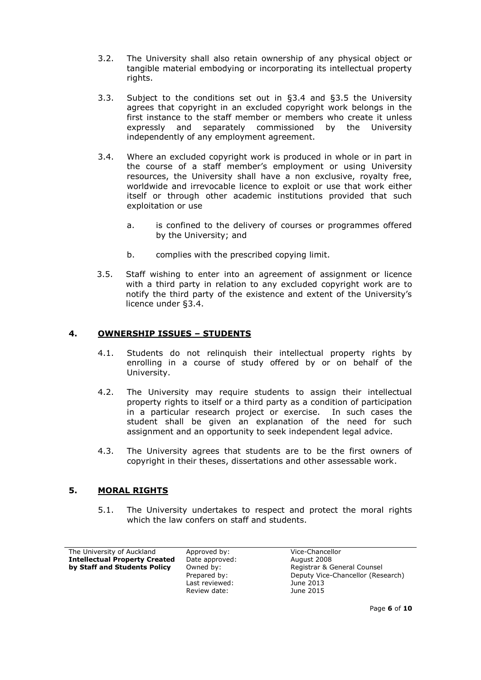- 3.2. The University shall also retain ownership of any physical object or tangible material embodying or incorporating its intellectual property rights.
- 3.3. Subject to the conditions set out in §3.4 and §3.5 the University agrees that copyright in an excluded copyright work belongs in the first instance to the staff member or members who create it unless expressly and separately commissioned by the University independently of any employment agreement.
- 3.4. Where an excluded copyright work is produced in whole or in part in the course of a staff member's employment or using University resources, the University shall have a non exclusive, royalty free, worldwide and irrevocable licence to exploit or use that work either itself or through other academic institutions provided that such exploitation or use
	- a. is confined to the delivery of courses or programmes offered by the University; and
	- b. complies with the prescribed copying limit.
- 3.5. Staff wishing to enter into an agreement of assignment or licence with a third party in relation to any excluded copyright work are to notify the third party of the existence and extent of the University's licence under §3.4.

### **4. OWNERSHIP ISSUES – STUDENTS**

- 4.1. Students do not relinquish their intellectual property rights by enrolling in a course of study offered by or on behalf of the University.
- 4.2. The University may require students to assign their intellectual property rights to itself or a third party as a condition of participation in a particular research project or exercise. In such cases the student shall be given an explanation of the need for such assignment and an opportunity to seek independent legal advice.
- 4.3. The University agrees that students are to be the first owners of copyright in their theses, dissertations and other assessable work.

## **5. MORAL RIGHTS**

5.1. The University undertakes to respect and protect the moral rights which the law confers on staff and students.

The University of Auckland Approved by: Vice-Chancellor **Intellectual Property Created** Date approved: August 2008 **by Staff and Students Policy** Owned by: Registrar & General Counsel

Last reviewed: June 2013 Review date: June 2015

Prepared by: Deputy Vice-Chancellor (Research)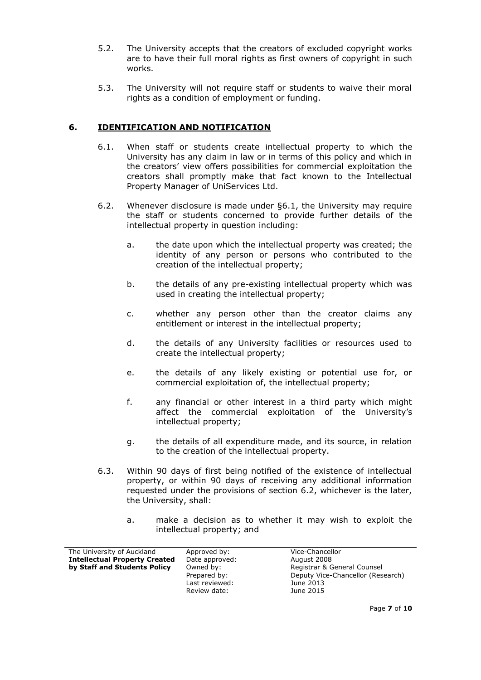- 5.2. The University accepts that the creators of excluded copyright works are to have their full moral rights as first owners of copyright in such works.
- 5.3. The University will not require staff or students to waive their moral rights as a condition of employment or funding.

### **6. IDENTIFICATION AND NOTIFICATION**

- 6.1. When staff or students create intellectual property to which the University has any claim in law or in terms of this policy and which in the creators' view offers possibilities for commercial exploitation the creators shall promptly make that fact known to the Intellectual Property Manager of UniServices Ltd.
- 6.2. Whenever disclosure is made under §6.1, the University may require the staff or students concerned to provide further details of the intellectual property in question including:
	- a. the date upon which the intellectual property was created; the identity of any person or persons who contributed to the creation of the intellectual property;
	- b. the details of any pre-existing intellectual property which was used in creating the intellectual property;
	- c. whether any person other than the creator claims any entitlement or interest in the intellectual property;
	- d. the details of any University facilities or resources used to create the intellectual property;
	- e. the details of any likely existing or potential use for, or commercial exploitation of, the intellectual property;
	- f. any financial or other interest in a third party which might affect the commercial exploitation of the University's intellectual property;
	- g. the details of all expenditure made, and its source, in relation to the creation of the intellectual property.
- 6.3. Within 90 days of first being notified of the existence of intellectual property, or within 90 days of receiving any additional information requested under the provisions of section 6.2, whichever is the later, the University, shall:
	- a. make a decision as to whether it may wish to exploit the intellectual property; and

| The University of Auckland           | Approved by:   | Vice-Chancellor                   |
|--------------------------------------|----------------|-----------------------------------|
| <b>Intellectual Property Created</b> | Date approved: | August 2008                       |
| by Staff and Students Policy         | Owned by:      | Registrar & General Counsel       |
|                                      | Prepared by:   | Deputy Vice-Chancellor (Research) |
|                                      | Last reviewed: | June 2013                         |
|                                      | Review date:   | June 2015                         |
|                                      |                |                                   |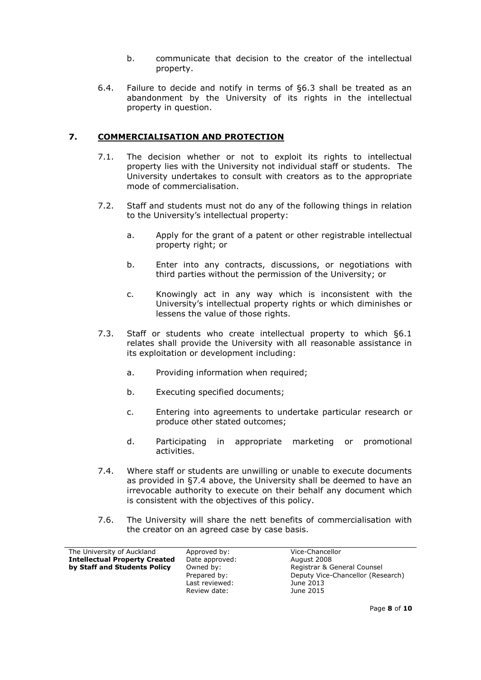- b. communicate that decision to the creator of the intellectual property.
- 6.4. Failure to decide and notify in terms of §6.3 shall be treated as an abandonment by the University of its rights in the intellectual property in question.

## **7. COMMERCIALISATION AND PROTECTION**

- 7.1. The decision whether or not to exploit its rights to intellectual property lies with the University not individual staff or students. The University undertakes to consult with creators as to the appropriate mode of commercialisation.
- 7.2. Staff and students must not do any of the following things in relation to the University's intellectual property:
	- a. Apply for the grant of a patent or other registrable intellectual property right; or
	- b. Enter into any contracts, discussions, or negotiations with third parties without the permission of the University; or
	- c. Knowingly act in any way which is inconsistent with the University's intellectual property rights or which diminishes or lessens the value of those rights.
- 7.3. Staff or students who create intellectual property to which §6.1 relates shall provide the University with all reasonable assistance in its exploitation or development including:
	- a. Providing information when required;
	- b. Executing specified documents;
	- c. Entering into agreements to undertake particular research or produce other stated outcomes;
	- d. Participating in appropriate marketing or promotional activities.
- 7.4. Where staff or students are unwilling or unable to execute documents as provided in §7.4 above, the University shall be deemed to have an irrevocable authority to execute on their behalf any document which is consistent with the objectives of this policy.
- 7.6. The University will share the nett benefits of commercialisation with the creator on an agreed case by case basis.

| The University of Auckland           | Approved by:   | Vice-Chancellor                   |
|--------------------------------------|----------------|-----------------------------------|
| <b>Intellectual Property Created</b> | Date approved: | August 2008                       |
| by Staff and Students Policy         | Owned by:      | Registrar & General Counsel       |
|                                      | Prepared by:   | Deputy Vice-Chancellor (Research) |
|                                      | Last reviewed: | June 2013                         |
|                                      | Review date:   | June 2015                         |
|                                      |                |                                   |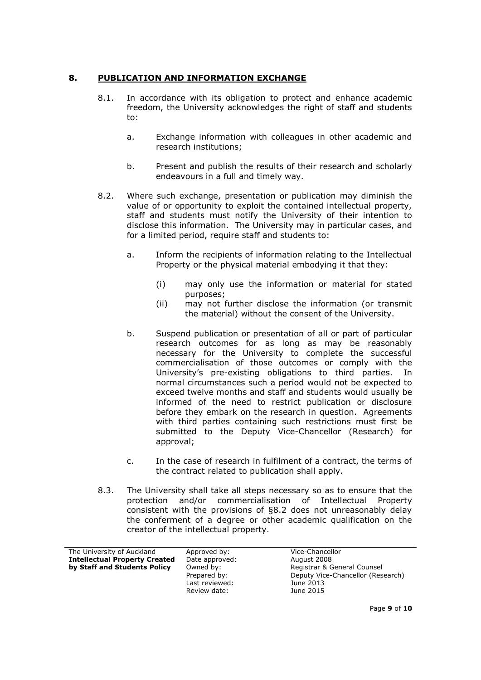# **8. PUBLICATION AND INFORMATION EXCHANGE**

- 8.1. In accordance with its obligation to protect and enhance academic freedom, the University acknowledges the right of staff and students to:
	- a. Exchange information with colleagues in other academic and research institutions;
	- b. Present and publish the results of their research and scholarly endeavours in a full and timely way.
- 8.2. Where such exchange, presentation or publication may diminish the value of or opportunity to exploit the contained intellectual property, staff and students must notify the University of their intention to disclose this information. The University may in particular cases, and for a limited period, require staff and students to:
	- a. Inform the recipients of information relating to the Intellectual Property or the physical material embodying it that they:
		- (i) may only use the information or material for stated purposes;
		- (ii) may not further disclose the information (or transmit the material) without the consent of the University.
	- b. Suspend publication or presentation of all or part of particular research outcomes for as long as may be reasonably necessary for the University to complete the successful commercialisation of those outcomes or comply with the University's pre-existing obligations to third parties. In normal circumstances such a period would not be expected to exceed twelve months and staff and students would usually be informed of the need to restrict publication or disclosure before they embark on the research in question. Agreements with third parties containing such restrictions must first be submitted to the Deputy Vice-Chancellor (Research) for approval;
	- c. In the case of research in fulfilment of a contract, the terms of the contract related to publication shall apply.
- 8.3. The University shall take all steps necessary so as to ensure that the protection and/or commercialisation of Intellectual Property consistent with the provisions of §8.2 does not unreasonably delay the conferment of a degree or other academic qualification on the creator of the intellectual property.

| The University of Auckland           | Approved by:   | Vice-Chancellor |
|--------------------------------------|----------------|-----------------|
| <b>Intellectual Property Created</b> | Date approved: | August 2008     |
| by Staff and Students Policy         | Owned by:      | Registrar & Gen |
|                                      | Prepared by:   | Deputy Vice-Cha |
|                                      | Last reviewed: | June 2013       |
|                                      | Review date:   | June 2015       |
|                                      |                |                 |